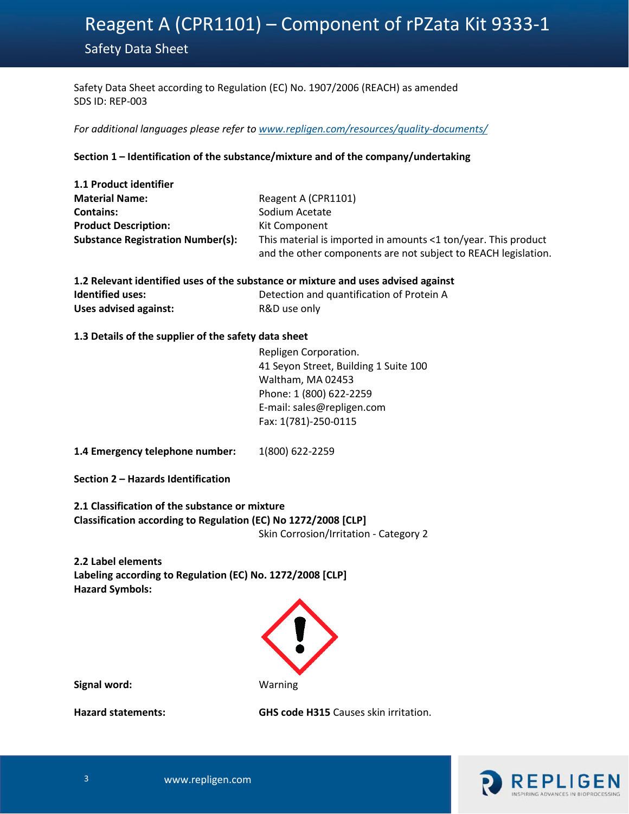Safety Data Sheet according to Regulation (EC) No. 1907/2006 (REACH) as amended SDS ID: REP-003

*For additional languages please refer to [www.repligen.com/resources/quality](http://www.repligen.com/resources/quality-documents/)-documents/*

### **Section 1 – Identification of the substance/mixture and of the company/undertaking**

| 1.1 Product identifier                   |                                                                |
|------------------------------------------|----------------------------------------------------------------|
| <b>Material Name:</b>                    | Reagent A (CPR1101)                                            |
| <b>Contains:</b>                         | Sodium Acetate                                                 |
| <b>Product Description:</b>              | Kit Component                                                  |
| <b>Substance Registration Number(s):</b> | This material is imported in amounts <1 ton/year. This product |
|                                          | and the other components are not subject to REACH legislation. |

| 1.2 Relevant identified uses of the substance or mixture and uses advised against |                                           |  |  |
|-----------------------------------------------------------------------------------|-------------------------------------------|--|--|
| <b>Identified uses:</b>                                                           | Detection and quantification of Protein A |  |  |
| Uses advised against:                                                             | R&D use only                              |  |  |

### **1.3 Details of the supplier of the safety data sheet**

Repligen Corporation. 41 Seyon Street, Building 1 Suite 100 Waltham, MA 02453 Phone: 1 (800) 622-2259 E-mail: sales@repligen.com Fax: 1(781)-250-0115

**1.4 Emergency telephone number:** 1(800) 622-2259

**Section 2 – Hazards Identification**

**2.1 Classification of the substance or mixture Classification according to Regulation (EC) No 1272/2008 [CLP]**  Skin Corrosion/Irritation - Category 2

**2.2 Label elements Labeling according to Regulation (EC) No. 1272/2008 [CLP] Hazard Symbols:** 



**Signal word:** Warning

**Hazard statements: GHS code H315** Causes skin irritation.

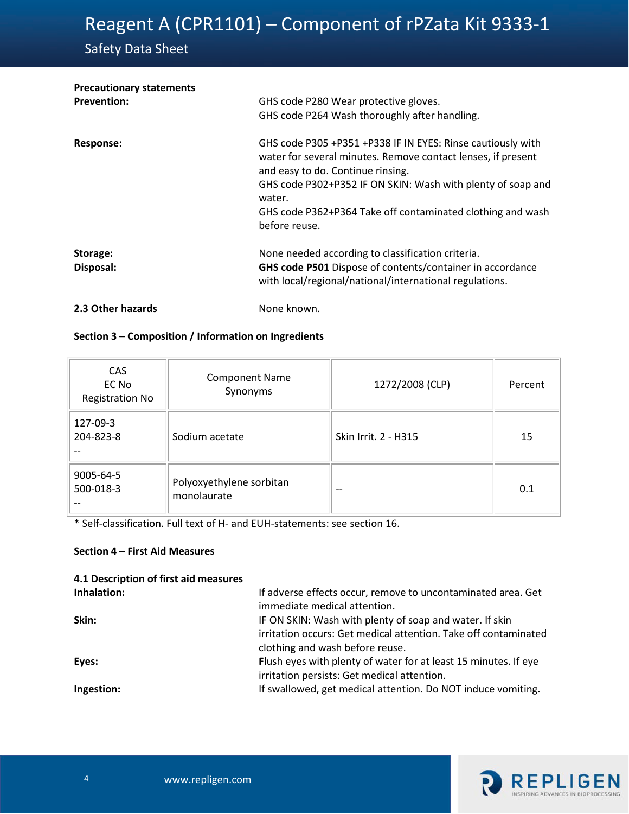# Safety Data Sheet

| <b>Precautionary statements</b> |                                                                                                                                                                                                                                                                                                                          |
|---------------------------------|--------------------------------------------------------------------------------------------------------------------------------------------------------------------------------------------------------------------------------------------------------------------------------------------------------------------------|
| <b>Prevention:</b>              | GHS code P280 Wear protective gloves.                                                                                                                                                                                                                                                                                    |
|                                 | GHS code P264 Wash thoroughly after handling.                                                                                                                                                                                                                                                                            |
| <b>Response:</b>                | GHS code P305 +P351 +P338 IF IN EYES: Rinse cautiously with<br>water for several minutes. Remove contact lenses, if present<br>and easy to do. Continue rinsing.<br>GHS code P302+P352 IF ON SKIN: Wash with plenty of soap and<br>water.<br>GHS code P362+P364 Take off contaminated clothing and wash<br>before reuse. |
| Storage:<br>Disposal:           | None needed according to classification criteria.<br>GHS code P501 Dispose of contents/container in accordance<br>with local/regional/national/international regulations.                                                                                                                                                |
| 2.3 Other hazards               | None known.                                                                                                                                                                                                                                                                                                              |

# **Section 3 – Composition / Information on Ingredients**

| CAS<br>EC No<br><b>Registration No</b> | <b>Component Name</b><br>Synonyms       | 1272/2008 (CLP)      | Percent |
|----------------------------------------|-----------------------------------------|----------------------|---------|
| 127-09-3<br>204-823-8                  | Sodium acetate                          | Skin Irrit. 2 - H315 | 15      |
| 9005-64-5<br>500-018-3                 | Polyoxyethylene sorbitan<br>monolaurate | $- -$                | 0.1     |

\* Self-classification. Full text of H- and EUH-statements: see section 16.

#### **Section 4 – First Aid Measures**

| 4.1 Description of first aid measures |                                                                                                                                                               |
|---------------------------------------|---------------------------------------------------------------------------------------------------------------------------------------------------------------|
| Inhalation:                           | If adverse effects occur, remove to uncontaminated area. Get<br>immediate medical attention.                                                                  |
| Skin:                                 | IF ON SKIN: Wash with plenty of soap and water. If skin<br>irritation occurs: Get medical attention. Take off contaminated<br>clothing and wash before reuse. |
| Eyes:                                 | Flush eyes with plenty of water for at least 15 minutes. If eye<br>irritation persists: Get medical attention.                                                |
| Ingestion:                            | If swallowed, get medical attention. Do NOT induce vomiting.                                                                                                  |

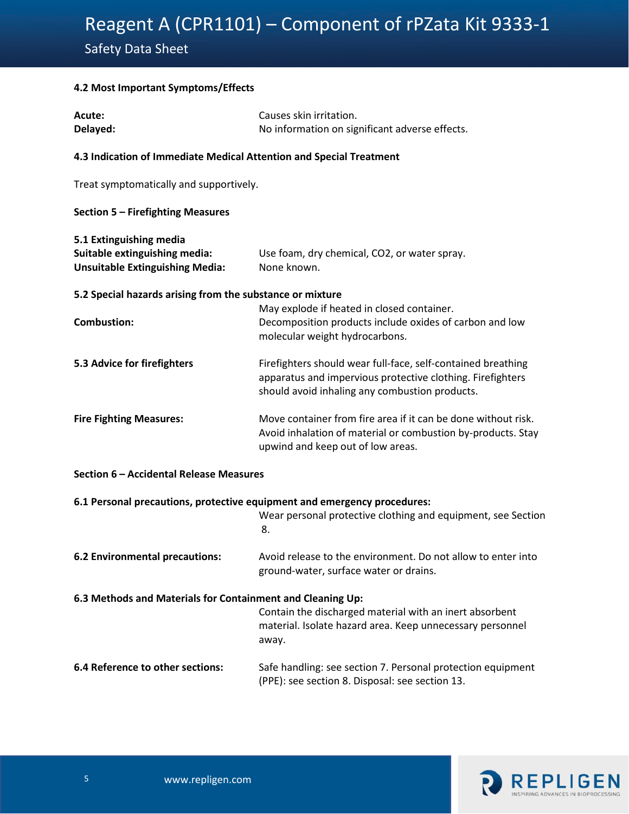# 5 **4.2 Most Important Symptoms/Effects**

| Acute:                                                                  | Causes skin irritation.                                                                                                                                                      |  |  |  |
|-------------------------------------------------------------------------|------------------------------------------------------------------------------------------------------------------------------------------------------------------------------|--|--|--|
| Delayed:                                                                | No information on significant adverse effects.                                                                                                                               |  |  |  |
| 4.3 Indication of Immediate Medical Attention and Special Treatment     |                                                                                                                                                                              |  |  |  |
| Treat symptomatically and supportively.                                 |                                                                                                                                                                              |  |  |  |
| Section 5 - Firefighting Measures                                       |                                                                                                                                                                              |  |  |  |
| 5.1 Extinguishing media                                                 |                                                                                                                                                                              |  |  |  |
| Suitable extinguishing media:<br><b>Unsuitable Extinguishing Media:</b> | Use foam, dry chemical, CO2, or water spray.<br>None known.                                                                                                                  |  |  |  |
| 5.2 Special hazards arising from the substance or mixture               |                                                                                                                                                                              |  |  |  |
| <b>Combustion:</b>                                                      | May explode if heated in closed container.<br>Decomposition products include oxides of carbon and low<br>molecular weight hydrocarbons.                                      |  |  |  |
| 5.3 Advice for firefighters                                             | Firefighters should wear full-face, self-contained breathing<br>apparatus and impervious protective clothing. Firefighters<br>should avoid inhaling any combustion products. |  |  |  |
| <b>Fire Fighting Measures:</b>                                          | Move container from fire area if it can be done without risk.<br>Avoid inhalation of material or combustion by-products. Stay<br>upwind and keep out of low areas.           |  |  |  |
| Section 6 - Accidental Release Measures                                 |                                                                                                                                                                              |  |  |  |
|                                                                         | 6.1 Personal precautions, protective equipment and emergency procedures:                                                                                                     |  |  |  |
|                                                                         | Wear personal protective clothing and equipment, see Section<br>8.                                                                                                           |  |  |  |
| 6.2 Environmental precautions:                                          | Avoid release to the environment. Do not allow to enter into<br>ground-water, surface water or drains.                                                                       |  |  |  |
| 6.3 Methods and Materials for Containment and Cleaning Up:              |                                                                                                                                                                              |  |  |  |
|                                                                         | Contain the discharged material with an inert absorbent<br>material. Isolate hazard area. Keep unnecessary personnel<br>away.                                                |  |  |  |
| 6.4 Reference to other sections:                                        | Safe handling: see section 7. Personal protection equipment<br>(PPE): see section 8. Disposal: see section 13.                                                               |  |  |  |

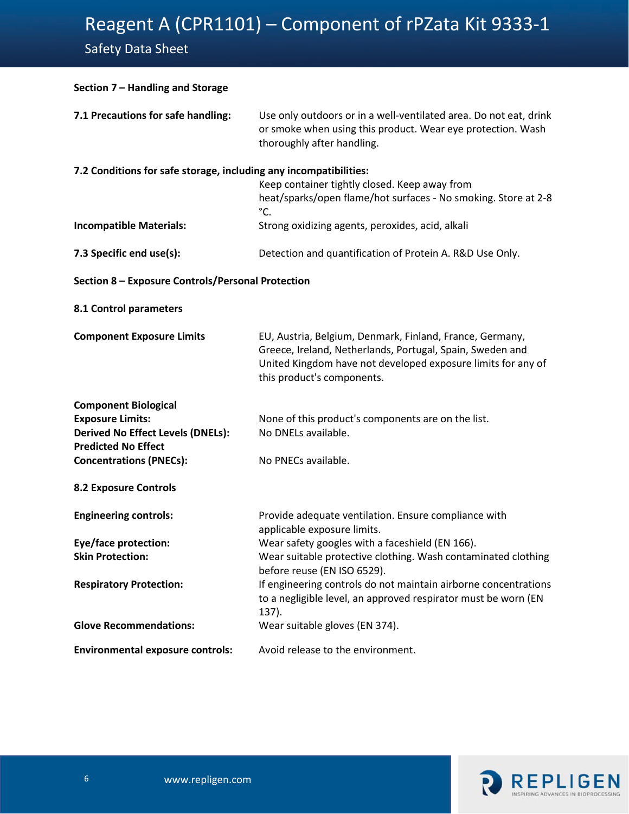Safety Data Sheet

| Section 7 - Handling and Storage                                                                                   |                                                                                                                                                                                                                     |  |  |  |
|--------------------------------------------------------------------------------------------------------------------|---------------------------------------------------------------------------------------------------------------------------------------------------------------------------------------------------------------------|--|--|--|
| 7.1 Precautions for safe handling:                                                                                 | Use only outdoors or in a well-ventilated area. Do not eat, drink<br>or smoke when using this product. Wear eye protection. Wash<br>thoroughly after handling.                                                      |  |  |  |
| 7.2 Conditions for safe storage, including any incompatibilities:<br>Keep container tightly closed. Keep away from |                                                                                                                                                                                                                     |  |  |  |
|                                                                                                                    | heat/sparks/open flame/hot surfaces - No smoking. Store at 2-8<br>°C.                                                                                                                                               |  |  |  |
| <b>Incompatible Materials:</b>                                                                                     | Strong oxidizing agents, peroxides, acid, alkali                                                                                                                                                                    |  |  |  |
| 7.3 Specific end use(s):                                                                                           | Detection and quantification of Protein A. R&D Use Only.                                                                                                                                                            |  |  |  |
| Section 8 - Exposure Controls/Personal Protection                                                                  |                                                                                                                                                                                                                     |  |  |  |
| 8.1 Control parameters                                                                                             |                                                                                                                                                                                                                     |  |  |  |
| <b>Component Exposure Limits</b>                                                                                   | EU, Austria, Belgium, Denmark, Finland, France, Germany,<br>Greece, Ireland, Netherlands, Portugal, Spain, Sweden and<br>United Kingdom have not developed exposure limits for any of<br>this product's components. |  |  |  |
| <b>Component Biological</b>                                                                                        |                                                                                                                                                                                                                     |  |  |  |
| <b>Exposure Limits:</b><br><b>Derived No Effect Levels (DNELs):</b>                                                | None of this product's components are on the list.<br>No DNELs available.                                                                                                                                           |  |  |  |
| <b>Predicted No Effect</b>                                                                                         | No PNECs available.                                                                                                                                                                                                 |  |  |  |
| <b>Concentrations (PNECs):</b>                                                                                     |                                                                                                                                                                                                                     |  |  |  |
| <b>8.2 Exposure Controls</b>                                                                                       |                                                                                                                                                                                                                     |  |  |  |
| <b>Engineering controls:</b>                                                                                       | Provide adequate ventilation. Ensure compliance with<br>applicable exposure limits.                                                                                                                                 |  |  |  |
| Eye/face protection:                                                                                               | Wear safety googles with a faceshield (EN 166).                                                                                                                                                                     |  |  |  |
| <b>Skin Protection:</b>                                                                                            | Wear suitable protective clothing. Wash contaminated clothing<br>before reuse (EN ISO 6529).                                                                                                                        |  |  |  |
| <b>Respiratory Protection:</b>                                                                                     | If engineering controls do not maintain airborne concentrations<br>to a negligible level, an approved respirator must be worn (EN<br>137).                                                                          |  |  |  |
| <b>Glove Recommendations:</b>                                                                                      | Wear suitable gloves (EN 374).                                                                                                                                                                                      |  |  |  |
| <b>Environmental exposure controls:</b>                                                                            | Avoid release to the environment.                                                                                                                                                                                   |  |  |  |

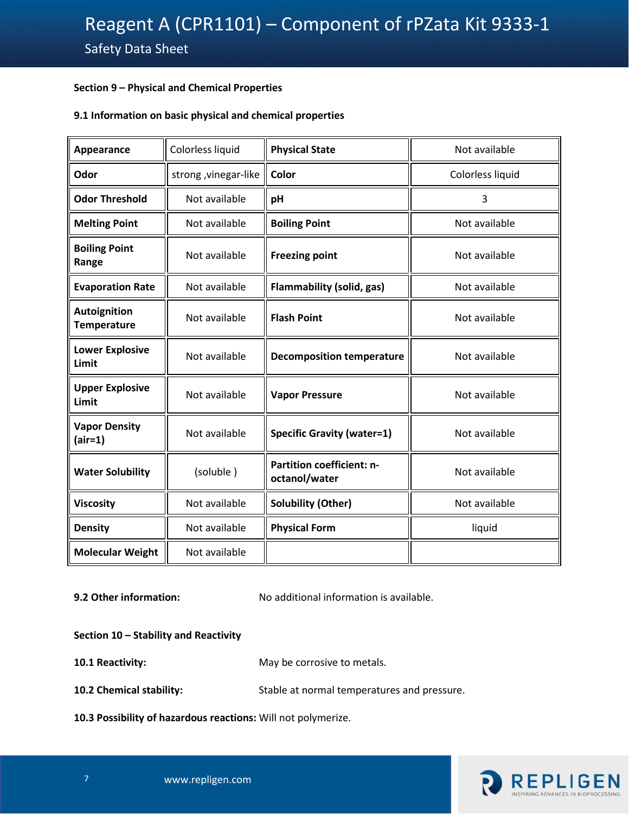## 7 **Section 9 – Physical and Chemical Properties**

### **9.1 Information on basic physical and chemical properties**

| Appearance                         | Colorless liquid      | <b>Physical State</b>                             | Not available    |  |
|------------------------------------|-----------------------|---------------------------------------------------|------------------|--|
| Odor                               | strong , vinegar-like | Color                                             | Colorless liquid |  |
| <b>Odor Threshold</b>              | Not available         | pH                                                | 3                |  |
| <b>Melting Point</b>               | Not available         | <b>Boiling Point</b>                              | Not available    |  |
| <b>Boiling Point</b><br>Range      | Not available         | <b>Freezing point</b>                             | Not available    |  |
| <b>Evaporation Rate</b>            | Not available         | <b>Flammability (solid, gas)</b>                  | Not available    |  |
| Autoignition<br><b>Temperature</b> | Not available         | <b>Flash Point</b>                                | Not available    |  |
| <b>Lower Explosive</b><br>Limit    | Not available         | <b>Decomposition temperature</b>                  | Not available    |  |
| <b>Upper Explosive</b><br>Limit    | Not available         | <b>Vapor Pressure</b>                             | Not available    |  |
| <b>Vapor Density</b><br>$(air=1)$  | Not available         | <b>Specific Gravity (water=1)</b>                 | Not available    |  |
| <b>Water Solubility</b>            | (soluble)             | <b>Partition coefficient: n-</b><br>octanol/water | Not available    |  |
| <b>Viscosity</b>                   | Not available         | <b>Solubility (Other)</b>                         | Not available    |  |
| <b>Density</b>                     | Not available         | <b>Physical Form</b>                              | liquid           |  |
| <b>Molecular Weight</b>            | Not available         |                                                   |                  |  |

**9.2 Other information:** No additional information is available.

#### **Section 10 – Stability and Reactivity**

**10.1 Reactivity:** May be corrosive to metals.

**10.2 Chemical stability:** Stable at normal temperatures and pressure.

**10.3 Possibility of hazardous reactions:** Will not polymerize.

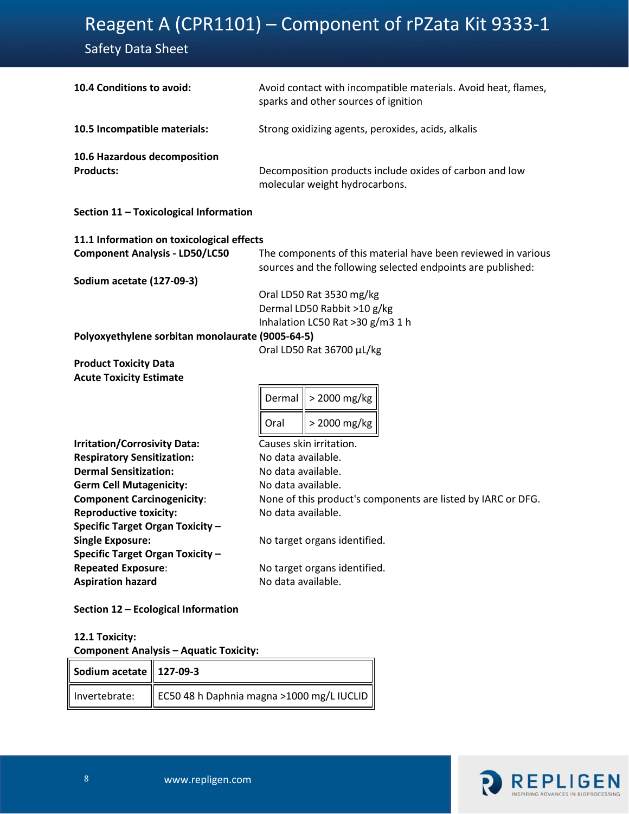# Safety Data Sheet

| 10.4 Conditions to avoid:                        | Avoid contact with incompatible materials. Avoid heat, flames,<br>sparks and other sources of ignition                       |  |  |  |  |
|--------------------------------------------------|------------------------------------------------------------------------------------------------------------------------------|--|--|--|--|
| 10.5 Incompatible materials:                     | Strong oxidizing agents, peroxides, acids, alkalis                                                                           |  |  |  |  |
| 10.6 Hazardous decomposition<br><b>Products:</b> | Decomposition products include oxides of carbon and low<br>molecular weight hydrocarbons.                                    |  |  |  |  |
| Section 11 - Toxicological Information           |                                                                                                                              |  |  |  |  |
| 11.1 Information on toxicological effects        |                                                                                                                              |  |  |  |  |
| <b>Component Analysis - LD50/LC50</b>            | The components of this material have been reviewed in various<br>sources and the following selected endpoints are published: |  |  |  |  |
| <b>Sodium acetate (127-09-3)</b>                 |                                                                                                                              |  |  |  |  |
|                                                  | Oral LD50 Rat 3530 mg/kg                                                                                                     |  |  |  |  |
|                                                  | Dermal LD50 Rabbit >10 g/kg                                                                                                  |  |  |  |  |
|                                                  | Inhalation LC50 Rat >30 g/m3 1 h                                                                                             |  |  |  |  |
| Polyoxyethylene sorbitan monolaurate (9005-64-5) | Oral LD50 Rat 36700 µL/kg                                                                                                    |  |  |  |  |
| <b>Product Toxicity Data</b>                     |                                                                                                                              |  |  |  |  |
| <b>Acute Toxicity Estimate</b>                   |                                                                                                                              |  |  |  |  |
|                                                  |                                                                                                                              |  |  |  |  |
|                                                  | > 2000 mg/kg<br>Dermal                                                                                                       |  |  |  |  |
|                                                  | > 2000 mg/kg<br>Oral                                                                                                         |  |  |  |  |
| <b>Irritation/Corrosivity Data:</b>              | Causes skin irritation.                                                                                                      |  |  |  |  |
| <b>Respiratory Sensitization:</b>                | No data available.                                                                                                           |  |  |  |  |
| <b>Dermal Sensitization:</b>                     | No data available.                                                                                                           |  |  |  |  |
| <b>Germ Cell Mutagenicity:</b>                   | No data available.                                                                                                           |  |  |  |  |
| <b>Component Carcinogenicity:</b>                | None of this product's components are listed by IARC or DFG.                                                                 |  |  |  |  |
| <b>Reproductive toxicity:</b>                    | No data available.                                                                                                           |  |  |  |  |
| <b>Specific Target Organ Toxicity -</b>          |                                                                                                                              |  |  |  |  |
| <b>Single Exposure:</b>                          | No target organs identified.                                                                                                 |  |  |  |  |
| <b>Specific Target Organ Toxicity -</b>          |                                                                                                                              |  |  |  |  |
| <b>Repeated Exposure:</b>                        | No target organs identified.                                                                                                 |  |  |  |  |
| <b>Aspiration hazard</b>                         | No data available.                                                                                                           |  |  |  |  |
| Section 12 - Ecological Information              |                                                                                                                              |  |  |  |  |

## **12.1 Toxicity: Component Analysis – Aquatic Toxicity:**

| Sodium acetate $\parallel$ 127-09-3 |                                                           |
|-------------------------------------|-----------------------------------------------------------|
|                                     | Invertebrate:   EC50 48 h Daphnia magna >1000 mg/L IUCLID |

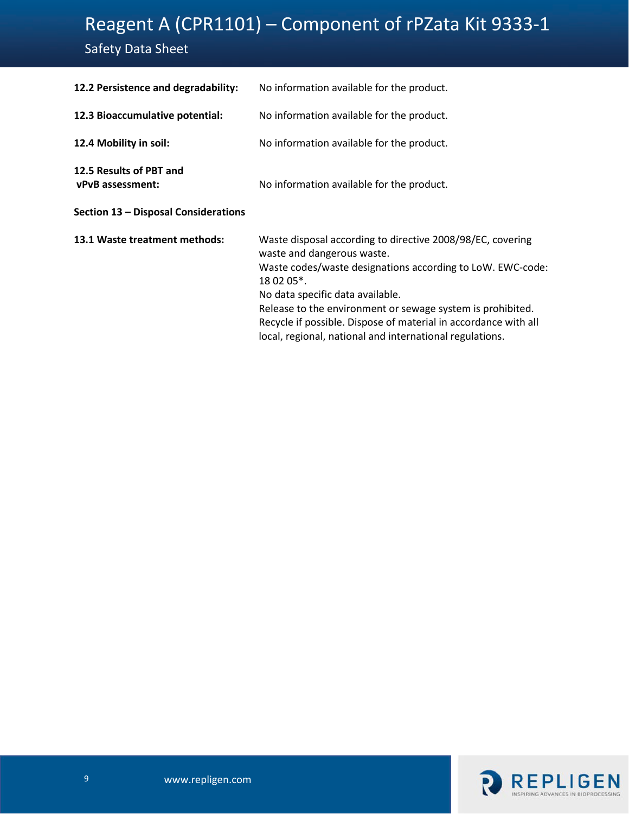# Safety Data Sheet

| 12.2 Persistence and degradability:                | No information available for the product.                                                                                                                                                                                                                                                                                                                                                             |
|----------------------------------------------------|-------------------------------------------------------------------------------------------------------------------------------------------------------------------------------------------------------------------------------------------------------------------------------------------------------------------------------------------------------------------------------------------------------|
| 12.3 Bioaccumulative potential:                    | No information available for the product.                                                                                                                                                                                                                                                                                                                                                             |
| 12.4 Mobility in soil:                             | No information available for the product.                                                                                                                                                                                                                                                                                                                                                             |
| 12.5 Results of PBT and<br><b>vPvB</b> assessment: | No information available for the product.                                                                                                                                                                                                                                                                                                                                                             |
| Section 13 - Disposal Considerations               |                                                                                                                                                                                                                                                                                                                                                                                                       |
| 13.1 Waste treatment methods:                      | Waste disposal according to directive 2008/98/EC, covering<br>waste and dangerous waste.<br>Waste codes/waste designations according to LoW. EWC-code:<br>18 02 05*.<br>No data specific data available.<br>Release to the environment or sewage system is prohibited.<br>Recycle if possible. Dispose of material in accordance with all<br>local, regional, national and international regulations. |

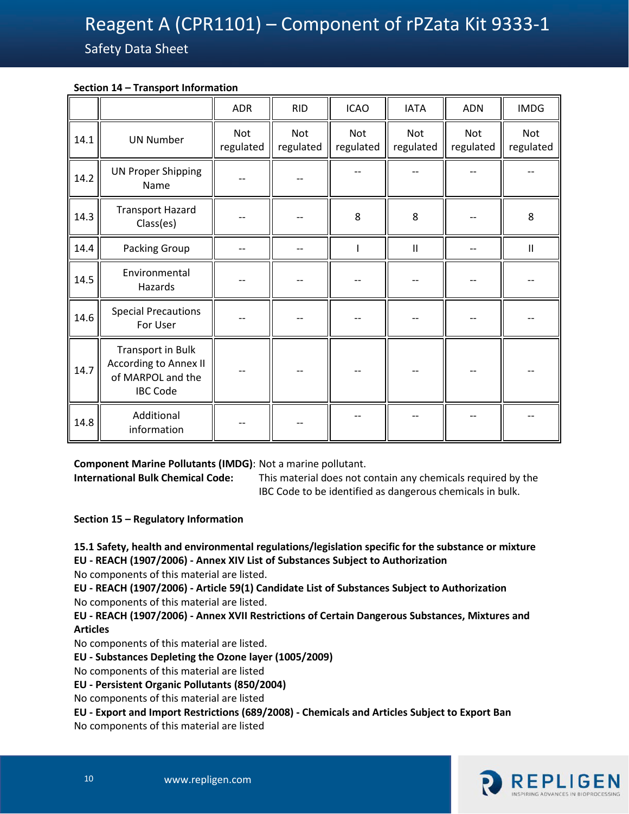## 10 **Section 14 – Transport Information**

|      |                                                                                           | <b>ADR</b>              | <b>RID</b>       | <b>ICAO</b>             | <b>IATA</b>      | <b>ADN</b>       | <b>IMDG</b>                           |
|------|-------------------------------------------------------------------------------------------|-------------------------|------------------|-------------------------|------------------|------------------|---------------------------------------|
| 14.1 | <b>UN Number</b>                                                                          | <b>Not</b><br>regulated | Not<br>regulated | <b>Not</b><br>regulated | Not<br>regulated | Not<br>regulated | Not<br>regulated                      |
| 14.2 | <b>UN Proper Shipping</b><br>Name                                                         |                         |                  |                         |                  |                  |                                       |
| 14.3 | <b>Transport Hazard</b><br>Class(es)                                                      |                         |                  | 8                       | 8                |                  | 8                                     |
| 14.4 | Packing Group                                                                             |                         |                  |                         | $\mathbf{I}$     |                  | $\begin{array}{c} \hline \end{array}$ |
| 14.5 | Environmental<br>Hazards                                                                  |                         |                  |                         |                  |                  |                                       |
| 14.6 | <b>Special Precautions</b><br>For User                                                    |                         |                  |                         |                  |                  |                                       |
| 14.7 | Transport in Bulk<br><b>According to Annex II</b><br>of MARPOL and the<br><b>IBC Code</b> |                         |                  |                         |                  |                  |                                       |
| 14.8 | Additional<br>information                                                                 |                         |                  |                         |                  |                  |                                       |

**Component Marine Pollutants (IMDG)**: Not a marine pollutant.

**International Bulk Chemical Code:** This material does not contain any chemicals required by the IBC Code to be identified as dangerous chemicals in bulk.

**Section 15 – Regulatory Information**

**15.1 Safety, health and environmental regulations/legislation specific for the substance or mixture EU - REACH (1907/2006) - Annex XIV List of Substances Subject to Authorization** 

No components of this material are listed.

**EU - REACH (1907/2006) - Article 59(1) Candidate List of Substances Subject to Authorization**  No components of this material are listed.

**EU - REACH (1907/2006) - Annex XVII Restrictions of Certain Dangerous Substances, Mixtures and Articles** 

No components of this material are listed.

**EU - Substances Depleting the Ozone layer (1005/2009)** 

No components of this material are listed

**EU - Persistent Organic Pollutants (850/2004)** 

No components of this material are listed

**EU - Export and Import Restrictions (689/2008) - Chemicals and Articles Subject to Export Ban** 

No components of this material are listed

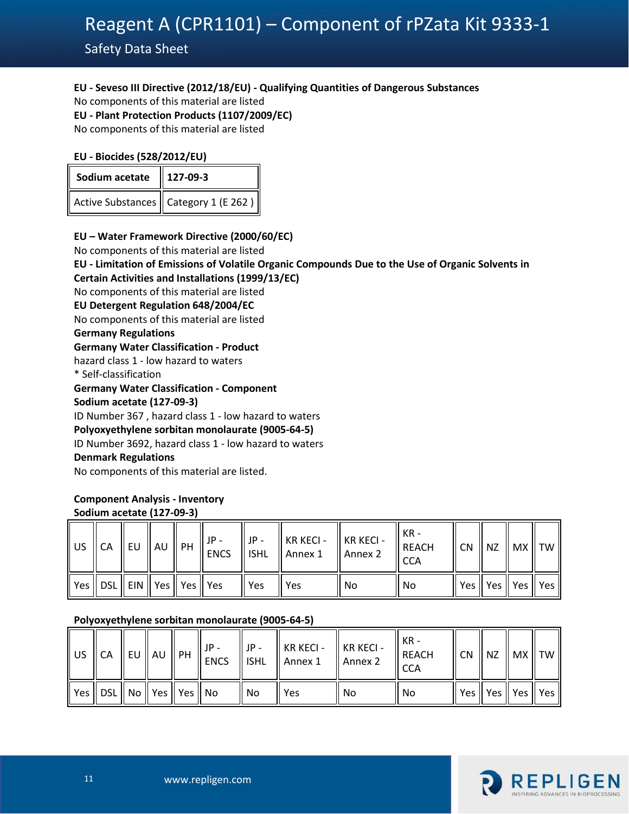# 11 **EU - Seveso III Directive (2012/18/EU) - Qualifying Quantities of Dangerous Substances**

No components of this material are listed

**EU - Plant Protection Products (1107/2009/EC)** 

No components of this material are listed

### **EU - Biocides (528/2012/EU)**

| Sodium acetate    127-09-3 |                                                  |  |  |  |  |
|----------------------------|--------------------------------------------------|--|--|--|--|
|                            | Active Substances $\parallel$ Category 1 (E 262) |  |  |  |  |

### **EU – Water Framework Directive (2000/60/EC)**

No components of this material are listed

#### **EU - Limitation of Emissions of Volatile Organic Compounds Due to the Use of Organic Solvents in Certain Activities and Installations (1999/13/EC)**

No components of this material are listed

**EU Detergent Regulation 648/2004/EC** 

No components of this material are listed

# **Germany Regulations**

## **Germany Water Classification - Product**

hazard class 1 - low hazard to waters

\* Self-classification

#### **Germany Water Classification - Component**

**Sodium acetate (127-09-3)**

ID Number 367 , hazard class 1 - low hazard to waters

### **Polyoxyethylene sorbitan monolaurate (9005-64-5)**

ID Number 3692, hazard class 1 - low hazard to waters

### **Denmark Regulations**

No components of this material are listed.

#### **Component Analysis - Inventory Sodium acetate (127-09-3)**

| l US | CA                                     |  | II IP -<br>$\mathcal{A} \parallel$ EU $\parallel$ AU $\parallel$ PH $\parallel$ ENCS $\parallel \cdot$ | $JP -$ | $\parallel$ KR KECI - $\parallel$ KR KECI -<br>$\parallel$ ISHL $\parallel$ Annex 1 | $\parallel$ Annex 2 | KR -<br>REACH<br><b>CCA</b> |  | CN    NZ    MX    TW     |  |
|------|----------------------------------------|--|--------------------------------------------------------------------------------------------------------|--------|-------------------------------------------------------------------------------------|---------------------|-----------------------------|--|--------------------------|--|
|      | Yes    DSL    EIN    Yes    Yes    Yes |  |                                                                                                        | Yes    | Yes                                                                                 | N <sub>0</sub>      | No                          |  | Yes    Yes    Yes    Yes |  |

### **Polyoxyethylene sorbitan monolaurate (9005-64-5)**

| $\parallel$ US $\parallel$ CA |                                      |  | I JP -<br>$\overline{A}$ $\parallel$ EU $\parallel$ AU $\parallel$ PH $\parallel \overline{E}$ NCS $\parallel \cdot$ | JP - | $\parallel$ KR KECI - $\parallel$ KR KECI -<br>$\parallel$ ISHL $\parallel$ Annex 1 | Annex 2 | KR -<br>REACH<br><b>CCA</b> | $\parallel$ CN $\parallel$ NZ $\parallel$ MX $\parallel$ TW $\parallel$ |  |
|-------------------------------|--------------------------------------|--|----------------------------------------------------------------------------------------------------------------------|------|-------------------------------------------------------------------------------------|---------|-----------------------------|-------------------------------------------------------------------------|--|
|                               | Yes    DSL    No    Yes    Yes    No |  |                                                                                                                      | No   | Yes                                                                                 | l No    | No                          | Yes    Yes    Yes    Yes                                                |  |

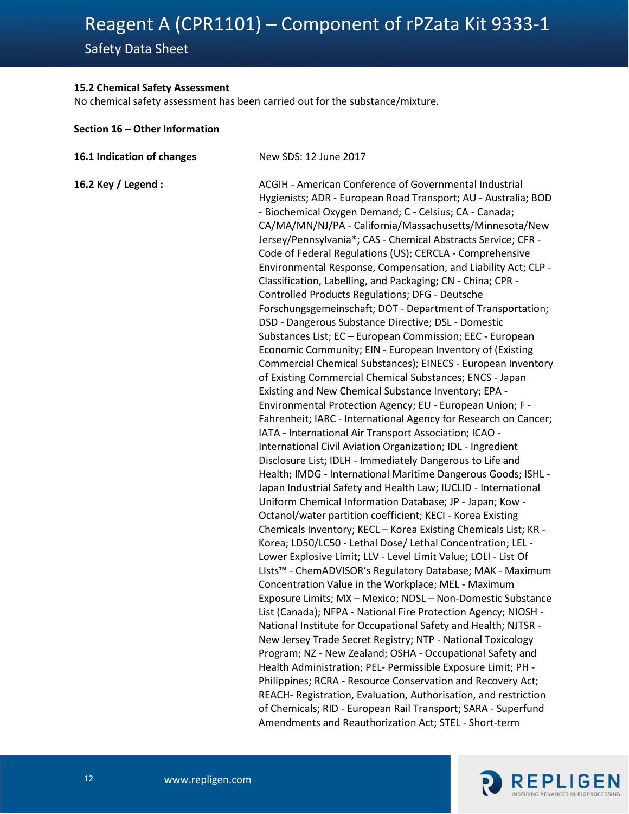Safety Data Sheet

### 12 **15.2 Chemical Safety Assessment**

No chemical safety assessment has been carried out for the substance/mixture.

#### **Section 16 – Other Information**

| 16.1 Indication of changes | New SDS: 12 June 2017                                                                                                                                                                                                                                                                                                                                                                                                                                                                                                                                                                                                                                                                                                                                                                                                                                                                                                                                                                                                                                                                                                                                                                                                                                                                                                                                                                                                                                                                                                                                                                                                                                                                                                                                                                                                                                                                                                                                                                                                                                                                                                                                                                                                                                                                                                                                                                                                                                                                                                                     |
|----------------------------|-------------------------------------------------------------------------------------------------------------------------------------------------------------------------------------------------------------------------------------------------------------------------------------------------------------------------------------------------------------------------------------------------------------------------------------------------------------------------------------------------------------------------------------------------------------------------------------------------------------------------------------------------------------------------------------------------------------------------------------------------------------------------------------------------------------------------------------------------------------------------------------------------------------------------------------------------------------------------------------------------------------------------------------------------------------------------------------------------------------------------------------------------------------------------------------------------------------------------------------------------------------------------------------------------------------------------------------------------------------------------------------------------------------------------------------------------------------------------------------------------------------------------------------------------------------------------------------------------------------------------------------------------------------------------------------------------------------------------------------------------------------------------------------------------------------------------------------------------------------------------------------------------------------------------------------------------------------------------------------------------------------------------------------------------------------------------------------------------------------------------------------------------------------------------------------------------------------------------------------------------------------------------------------------------------------------------------------------------------------------------------------------------------------------------------------------------------------------------------------------------------------------------------------------|
| 16.2 Key / Legend :        | <b>ACGIH - American Conference of Governmental Industrial</b><br>Hygienists; ADR - European Road Transport; AU - Australia; BOD<br>- Biochemical Oxygen Demand; C - Celsius; CA - Canada;<br>CA/MA/MN/NJ/PA - California/Massachusetts/Minnesota/New<br>Jersey/Pennsylvania*; CAS - Chemical Abstracts Service; CFR -<br>Code of Federal Regulations (US); CERCLA - Comprehensive<br>Environmental Response, Compensation, and Liability Act; CLP -<br>Classification, Labelling, and Packaging; CN - China; CPR -<br><b>Controlled Products Regulations; DFG - Deutsche</b><br>Forschungsgemeinschaft; DOT - Department of Transportation;<br>DSD - Dangerous Substance Directive; DSL - Domestic<br>Substances List; EC - European Commission; EEC - European<br>Economic Community; EIN - European Inventory of (Existing<br>Commercial Chemical Substances); EINECS - European Inventory<br>of Existing Commercial Chemical Substances; ENCS - Japan<br>Existing and New Chemical Substance Inventory; EPA -<br>Environmental Protection Agency; EU - European Union; F -<br>Fahrenheit; IARC - International Agency for Research on Cancer;<br>IATA - International Air Transport Association; ICAO -<br>International Civil Aviation Organization; IDL - Ingredient<br>Disclosure List; IDLH - Immediately Dangerous to Life and<br>Health; IMDG - International Maritime Dangerous Goods; ISHL -<br>Japan Industrial Safety and Health Law; IUCLID - International<br>Uniform Chemical Information Database; JP - Japan; Kow -<br>Octanol/water partition coefficient; KECI - Korea Existing<br>Chemicals Inventory; KECL - Korea Existing Chemicals List; KR -<br>Korea; LD50/LC50 - Lethal Dose/ Lethal Concentration; LEL -<br>Lower Explosive Limit; LLV - Level Limit Value; LOLI - List Of<br>LIsts <sup>™</sup> - ChemADVISOR's Regulatory Database; MAK - Maximum<br>Concentration Value in the Workplace; MEL - Maximum<br>Exposure Limits; MX - Mexico; NDSL - Non-Domestic Substance<br>List (Canada); NFPA - National Fire Protection Agency; NIOSH ·<br>National Institute for Occupational Safety and Health; NJTSR -<br>New Jersey Trade Secret Registry; NTP - National Toxicology<br>Program; NZ - New Zealand; OSHA - Occupational Safety and<br>Health Administration; PEL- Permissible Exposure Limit; PH -<br>Philippines; RCRA - Resource Conservation and Recovery Act;<br>REACH- Registration, Evaluation, Authorisation, and restriction<br>of Chemicals; RID - European Rail Transport; SARA - Superfund |
|                            | Amendments and Reauthorization Act; STEL - Short-term                                                                                                                                                                                                                                                                                                                                                                                                                                                                                                                                                                                                                                                                                                                                                                                                                                                                                                                                                                                                                                                                                                                                                                                                                                                                                                                                                                                                                                                                                                                                                                                                                                                                                                                                                                                                                                                                                                                                                                                                                                                                                                                                                                                                                                                                                                                                                                                                                                                                                     |